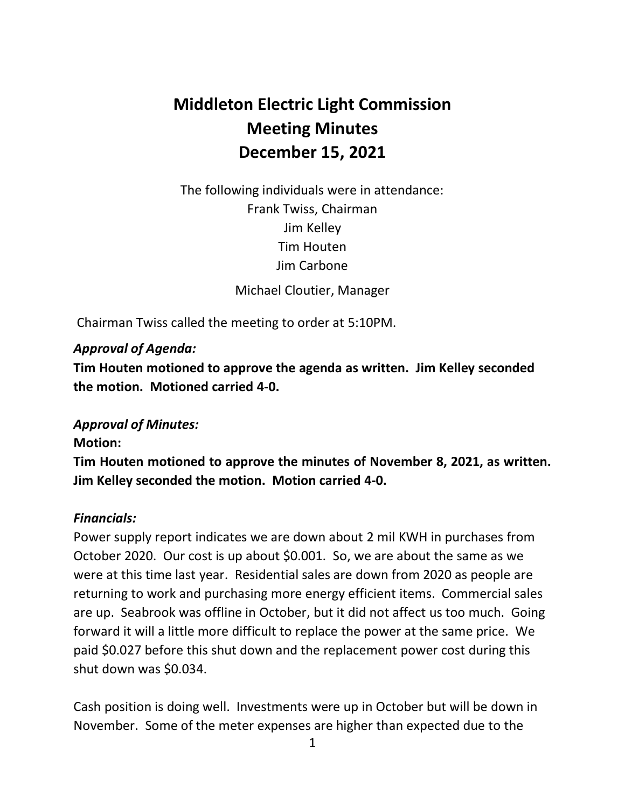# **Middleton Electric Light Commission Meeting Minutes December 15, 2021**

 The following individuals were in attendance: Frank Twiss, Chairman Jim Kelley Tim Houten Jim Carbone

Michael Cloutier, Manager

Chairman Twiss called the meeting to order at 5:10PM.

### *Approval of Agenda:*

 **Tim Houten motioned to approve the agenda as written. Jim Kelley seconded the motion. Motioned carried 4-0.** 

## *Approval of Minutes:*

#### **Motion:**

 **Tim Houten motioned to approve the minutes of November 8, 2021, as written. Jim Kelley seconded the motion. Motion carried 4-0.** 

#### *Financials:*

 Power supply report indicates we are down about 2 mil KWH in purchases from October 2020. Our cost is up about \$0.001. So, we are about the same as we were at this time last year. Residential sales are down from 2020 as people are returning to work and purchasing more energy efficient items. Commercial sales are up. Seabrook was offline in October, but it did not affect us too much. Going forward it will a little more difficult to replace the power at the same price. We paid \$0.027 before this shut down and the replacement power cost during this shut down was \$0.034.

 Cash position is doing well. Investments were up in October but will be down in November. Some of the meter expenses are higher than expected due to the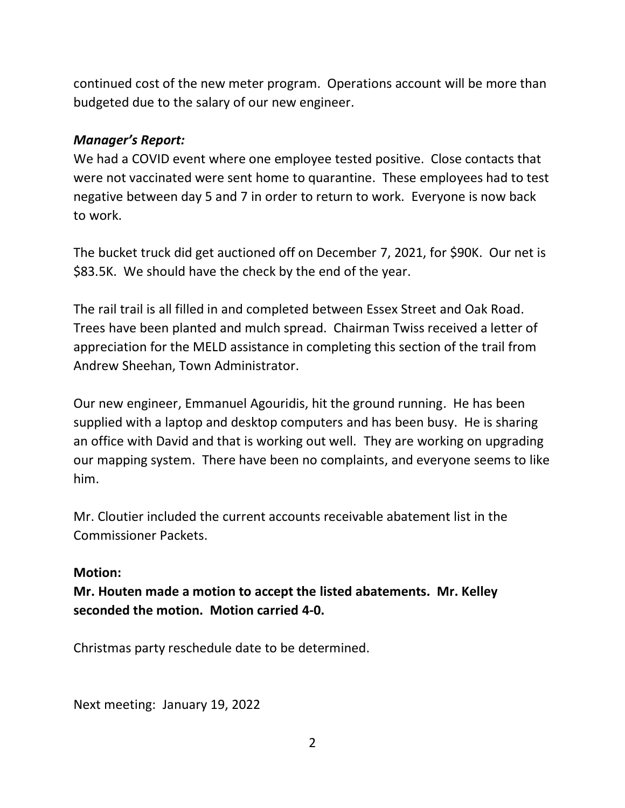continued cost of the new meter program. Operations account will be more than budgeted due to the salary of our new engineer.

#### *Manager's Report:*

 We had a COVID event where one employee tested positive. Close contacts that were not vaccinated were sent home to quarantine. These employees had to test negative between day 5 and 7 in order to return to work. Everyone is now back to work.

 The bucket truck did get auctioned off on December 7, 2021, for \$90K. Our net is \$83.5K. We should have the check by the end of the year.

 The rail trail is all filled in and completed between Essex Street and Oak Road. Trees have been planted and mulch spread. Chairman Twiss received a letter of appreciation for the MELD assistance in completing this section of the trail from Andrew Sheehan, Town Administrator.

 Our new engineer, Emmanuel Agouridis, hit the ground running. He has been supplied with a laptop and desktop computers and has been busy. He is sharing an office with David and that is working out well. They are working on upgrading our mapping system. There have been no complaints, and everyone seems to like him.

 Mr. Cloutier included the current accounts receivable abatement list in the Commissioner Packets.

#### **Motion:**

 **Mr. Houten made a motion to accept the listed abatements. Mr. Kelley seconded the motion. Motion carried 4-0.** 

Christmas party reschedule date to be determined.

Next meeting: January 19, 2022